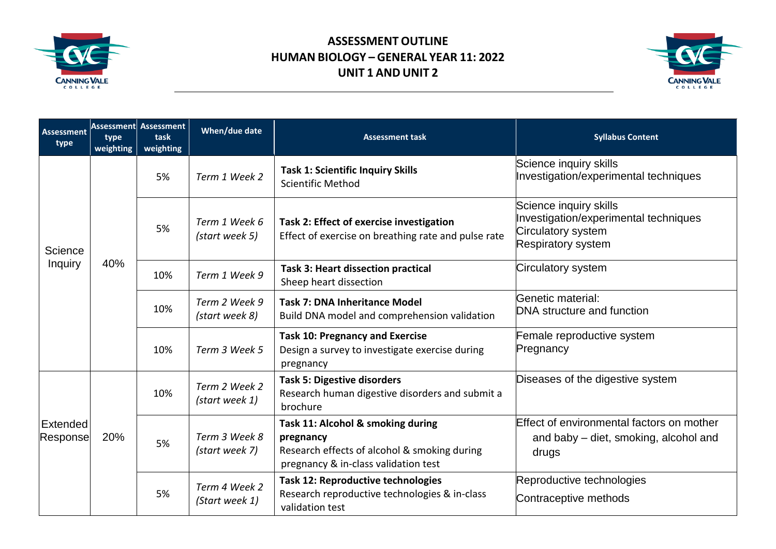

## **ASSESSMENT OUTLINE HUMAN BIOLOGY – GENERAL YEAR 11: 2022 UNIT 1 AND UNIT 2**



| <b>Assessment</b><br>type    | type<br>weighting | <b>Assessment Assessment</b><br>task<br>weighting | When/due date                   | <b>Assessment task</b>                                                                                                                 | <b>Syllabus Content</b>                                                                                            |
|------------------------------|-------------------|---------------------------------------------------|---------------------------------|----------------------------------------------------------------------------------------------------------------------------------------|--------------------------------------------------------------------------------------------------------------------|
| Science<br><b>Inquiry</b>    | 40%               | 5%                                                | Term 1 Week 2                   | <b>Task 1: Scientific Inquiry Skills</b><br><b>Scientific Method</b>                                                                   | Science inquiry skills<br>Investigation/experimental techniques                                                    |
|                              |                   | 5%                                                | Term 1 Week 6<br>(start week 5) | Task 2: Effect of exercise investigation<br>Effect of exercise on breathing rate and pulse rate                                        | Science inquiry skills<br>Investigation/experimental techniques<br>Circulatory system<br><b>Respiratory system</b> |
|                              |                   | 10%                                               | Term 1 Week 9                   | <b>Task 3: Heart dissection practical</b><br>Sheep heart dissection                                                                    | Circulatory system                                                                                                 |
|                              |                   | 10%                                               | Term 2 Week 9<br>(start week 8) | <b>Task 7: DNA Inheritance Model</b><br>Build DNA model and comprehension validation                                                   | Genetic material:<br>DNA structure and function                                                                    |
|                              |                   | 10%                                               | Term 3 Week 5                   | <b>Task 10: Pregnancy and Exercise</b><br>Design a survey to investigate exercise during<br>pregnancy                                  | Female reproductive system<br>Pregnancy                                                                            |
| <b>Extended</b><br> Response | 20%               | 10%                                               | Term 2 Week 2<br>(start week 1) | <b>Task 5: Digestive disorders</b><br>Research human digestive disorders and submit a<br>brochure                                      | Diseases of the digestive system                                                                                   |
|                              |                   | 5%                                                | Term 3 Week 8<br>(start week 7) | Task 11: Alcohol & smoking during<br>pregnancy<br>Research effects of alcohol & smoking during<br>pregnancy & in-class validation test | Effect of environmental factors on mother<br>and baby – diet, smoking, alcohol and<br>drugs                        |
|                              |                   | 5%                                                | Term 4 Week 2<br>(Start week 1) | <b>Task 12: Reproductive technologies</b><br>Research reproductive technologies & in-class<br>validation test                          | Reproductive technologies<br>Contraceptive methods                                                                 |